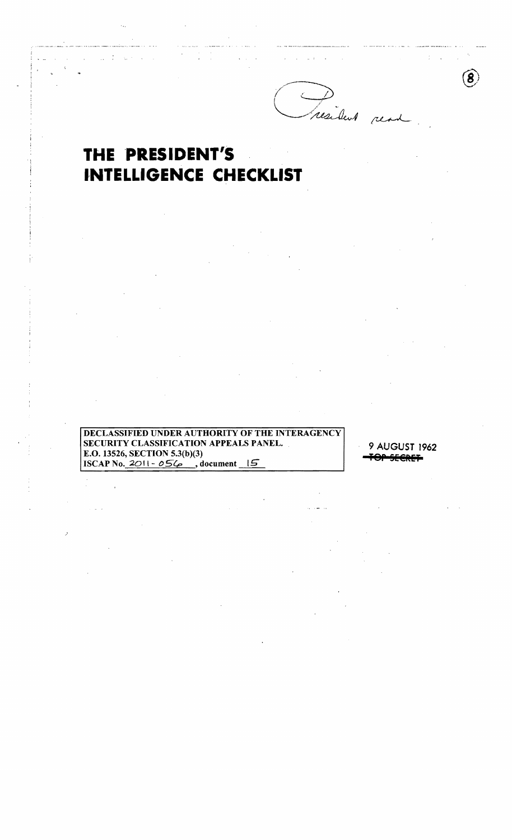resident ren

8

## THE PRESIDENT'S **INTELLIGENCE CHECKLIST**

 $\mathcal{L}_{\mathbf{a}}$  .

DECLASSIFIED UNDER AUTHORITY OF THE INTERAGENCY **SECURITY CLASSIFICATION APPEALS PANEL.** E.O. 13526, SECTION 5.3(b)(3) ISCAP No. 2011 -  $05\frac{6}{9}$ , document 15

9 AUGUST 1962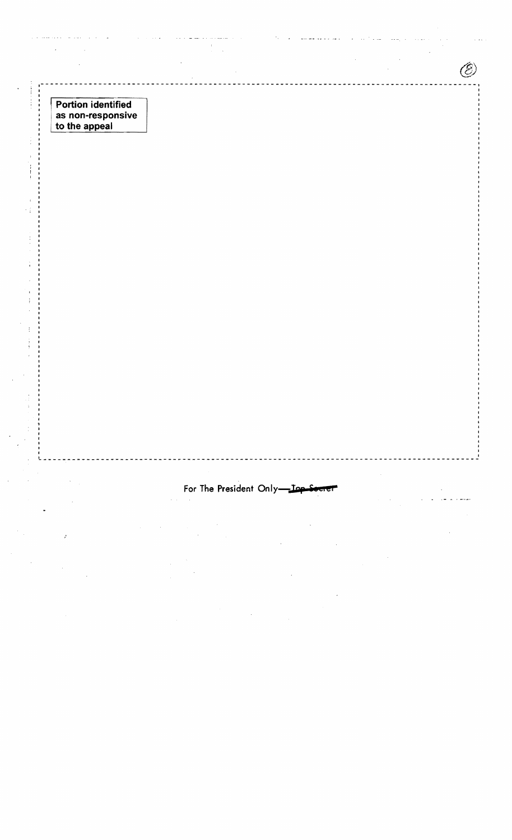Portion identified as non-responsive to the appeal

l,

 $\ddot{.}$ ł

For The President Only-Inp-Seen

Ô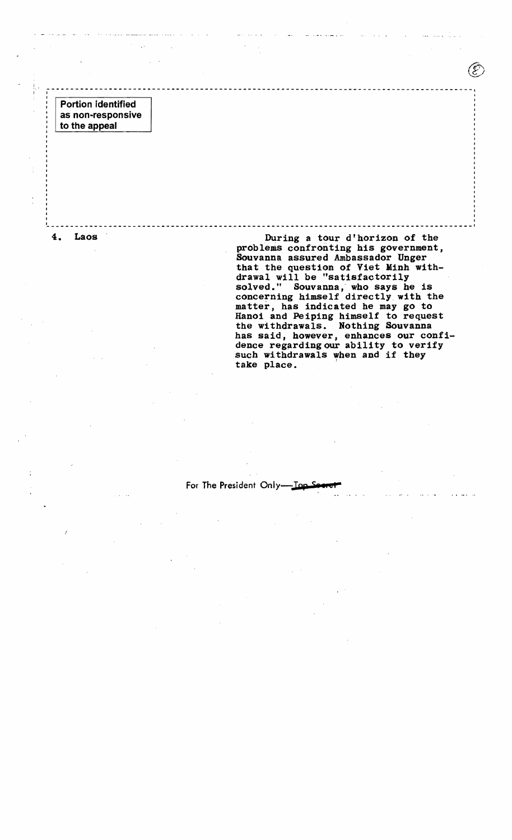Portion identified as non-responsive to the appeal

4. Laos During a tour d'horizon of the problems confronting his government, Souvanna assured Ambassador Unger that the question of Viet Minh with drawal will be "satisfactorily ardwar with be battlessed it,<br>solved." Souvanna, who says he is concerning himself directly with the matter, has indicated he may go to Hanoi and Peiping himself to request the withdrawals. Nothing Souvanna has said, however, enhances our confi dence regarding our ability to verify such withdrawals when and if they take place.

For The President Only-

. The contract of the contract of the contract of the contract of the contract of the contract of the contract of the contract of the contract of the contract of the contract of the contract of the contract of the contrac

<sup>I</sup>~ \_\_\_\_\_\_\_\_\_\_\_\_\_\_\_\_\_\_\_\_\_\_\_\_\_\_\_\_\_\_\_\_\_\_\_\_\_\_\_\_\_\_\_\_\_\_\_\_\_\_\_\_\_ ----------------------------- \_\_\_\_\_\_ 1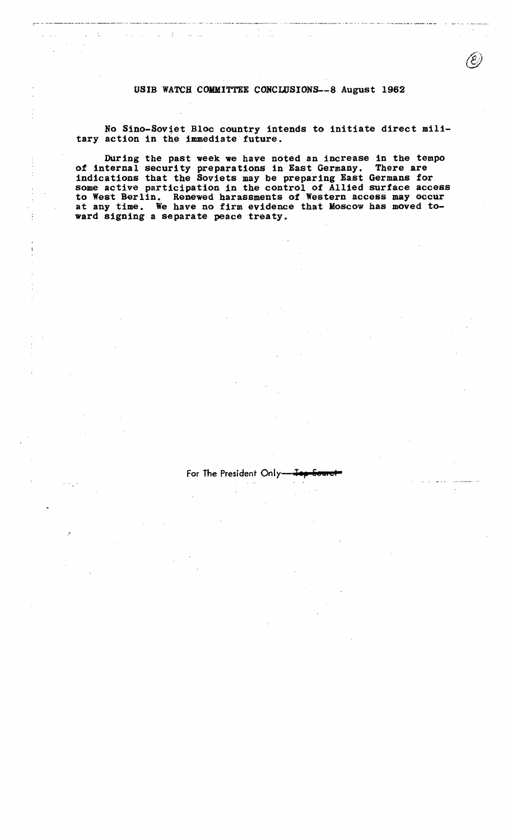USIB WATCH COMMITTEE CONCLUSIONS--8 August 1962

 $\label{eq:2.1} \mathcal{L}_{\text{max}} = \frac{1}{2} \sum_{i=1}^{n} \frac{1}{2} \sum_{i=1}^{n} \frac{1}{2} \sum_{i=1}^{n} \frac{1}{2} \sum_{i=1}^{n} \frac{1}{2} \sum_{i=1}^{n} \frac{1}{2} \sum_{i=1}^{n} \frac{1}{2} \sum_{i=1}^{n} \frac{1}{2} \sum_{i=1}^{n} \frac{1}{2} \sum_{i=1}^{n} \frac{1}{2} \sum_{i=1}^{n} \frac{1}{2} \sum_{i=1}^{n} \frac{1}{2} \sum_{i=$ 

المتحدث والمتاريخ والمتحدث

No Sino-Soviet Bloc country intends to initiate direct military action in the immediate future.

DUring the past week we have noted an increase in the tempo of internal security preparations in East Germany. There are indications that the Soviets may be preparing East Germans for some active participation in the control of Allied surface access to West Berlin. Renewed harassments of Western access may occur at any time. We have no firm evidence that Moscow has moved toward signing a separate peace treaty.

For The President Only<sub>1</sub>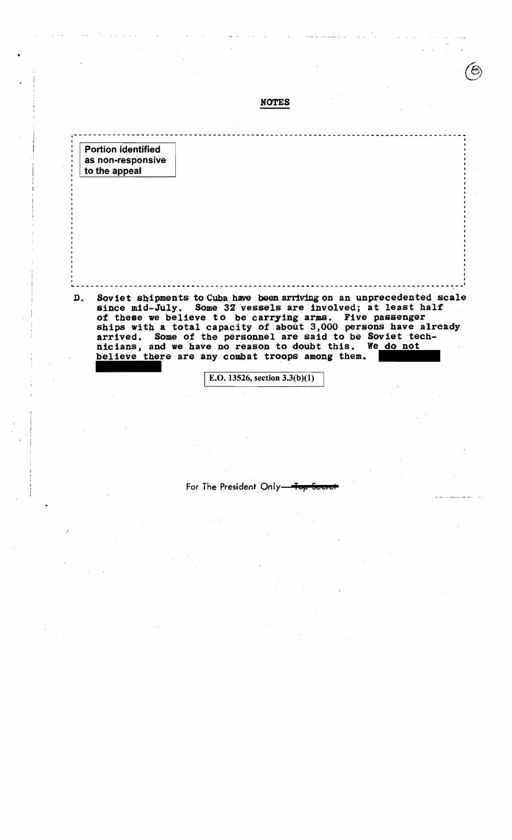|                                                                 | <b>NOTES</b>                                                                                                                                                                             |  |
|-----------------------------------------------------------------|------------------------------------------------------------------------------------------------------------------------------------------------------------------------------------------|--|
|                                                                 |                                                                                                                                                                                          |  |
| <b>Portion identified</b><br>as non-responsive<br>to the appeal |                                                                                                                                                                                          |  |
|                                                                 |                                                                                                                                                                                          |  |
|                                                                 |                                                                                                                                                                                          |  |
|                                                                 |                                                                                                                                                                                          |  |
|                                                                 |                                                                                                                                                                                          |  |
|                                                                 |                                                                                                                                                                                          |  |
| D.                                                              | Soviet shipments to Cuba have been arriving on an unprecedented scale<br>since mid-July. Some 32 vessels are involved; at least half                                                     |  |
|                                                                 | of these we believe to be carrying arms. Five passenger<br>ships with a total capacity of about 3,000 persons have already<br>arrived. Some of the personnel are said to be Soviet tech- |  |
|                                                                 | nicians, and we have no reason to doubt this.<br>We do not<br>believe there are any combat troops among them.                                                                            |  |

For The President Only